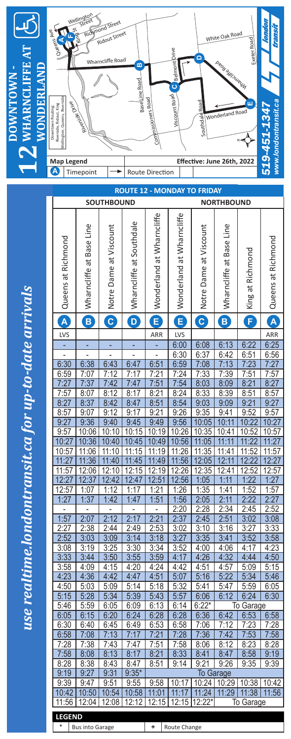

use realtime.londontransit.ca for up-to-date arrivals *use realtime.londontransit.ca for up-to-date arrivals*

| <b>ROUTE 12 - MONDAY TO FRIDAY</b>     |                             |                        |                          |                           |                           |                        |                             |                        |                    |
|----------------------------------------|-----------------------------|------------------------|--------------------------|---------------------------|---------------------------|------------------------|-----------------------------|------------------------|--------------------|
| <b>SOUTHBOUND</b><br><b>NORTHBOUND</b> |                             |                        |                          |                           |                           |                        |                             |                        |                    |
|                                        |                             |                        |                          |                           |                           |                        |                             |                        |                    |
| Queens at Richmond                     | Line<br>Wharncliffe at Base | Notre Dame at Viscount | Wharncliffe at Southdale | Wonderland at Wharncliffe | Wonderland at Wharncliffe | Notre Dame at Viscount | Line<br>Wharncliffe at Base | King at Richmond       | Queens at Richmond |
| A                                      | B                           | $\boxed{\textbf{c}}$   | D                        | $\mathbf{E}$              | E                         | $\mathbf{C}$           | $\mathbf{B}$                | F                      | A                  |
| <b>LVS</b>                             |                             |                        |                          | ARR                       | LVS                       |                        |                             |                        | ARR                |
|                                        |                             |                        |                          |                           | 6:00                      | 6:08                   | 6:13                        | 6:22                   | 6:25               |
|                                        |                             |                        |                          |                           | 6:30                      | 6:37                   | 6:42                        | 6:51                   | 6:56               |
| 6:30                                   | 6:38                        | 6:43                   | 6:47                     | 6:51                      | 6:59                      | 7:08                   | 7:13                        | 7:23                   | 7:27               |
| 6:59                                   | $\overline{7:}07$           | 7:12                   | 7:17                     | 7:21                      | 7:24                      | 7:33                   | 7:39                        | 7:51                   | 7:57               |
| 7:27                                   | 7:37                        | 7:42                   | 7:47                     | 7:51                      | 7:54                      | 8:03                   | 8:09                        | 8:21                   | 8:27               |
| 7:57                                   | 8:07                        | 8:12                   | 8:17                     | 8:21                      | 8:24                      | 8:33                   | 8:39                        | 8:51                   | 8:57               |
| 8:27                                   | 8:37                        | 8:42                   | 8:47                     | 8:51                      | 8:54                      | 9:03                   | 9:09                        | 9:21                   | 9:27               |
| 8:57                                   | 9:07                        | 9:12                   | 9:17                     | 9:21                      | 9:26                      | 9:35                   | 9:41                        | 9:52                   | 9:57               |
| 9:27                                   | 9:36                        | 9:40                   | 9:45                     | 9:49                      | 9:56                      | 10:05                  | 10:11                       | 10:22                  | 10:27              |
| 9:57                                   | 10:06                       | 10:10                  | 10:15                    | 10:19                     | 10:26                     | 10:35                  | 10:41                       | 10:52                  | 10:57              |
| 10:27                                  | 10:36                       | 10:40                  | 10:45                    | 10:49                     | 10:56                     | 11:05                  | $\overline{11}$<br>:11      | $\overline{.22}$<br>11 | 11:27              |
| 10:57                                  | 11:06                       | 11:10                  | 11:15                    | 11:19                     | 11:26                     | 11:35                  | 11:41                       | 11:52                  | 11:57              |
| 11:27                                  | 11:36                       | 11:40                  | :45<br>11                | 11:49                     | 11:56                     | 12:05                  | 12:11                       | 12:22                  | 12:27              |
| 11:57                                  | 12:06                       | 12:10                  | 12:15                    | 12:19                     | 12:26                     | 12:35                  | 12:41                       | 12:52                  | 12:57              |
| 12:27                                  | 12:37                       | 12:42                  | 12:47                    | 12:51                     | 12:56                     | 1:05                   | 1:11                        | 1:22                   | 1:27               |
| 12:57                                  | 1:07                        | 1:12                   | 1:17                     | 1:21                      | <u>1:26</u>               | 1:35                   | 1:41                        | 1:52                   | 1:57               |
| 1:27                                   | 1:37                        | 1:42                   | 1:47                     | 1:51                      | 1:56                      | 2:05                   | 2:11                        | 2:22                   | 2:27               |
|                                        |                             |                        |                          |                           | 2:20                      | 2:28                   | 2:34                        | 2:45                   | 2:52               |
| 1:57                                   | 2:07                        | 2:12                   | 2:17                     | 2:21                      | 2:37                      | 2:45                   | 2:51                        | 3:02                   | 3:08               |
| 2:27                                   | 2:38                        | 2:44                   | 2:49                     | 2:53                      | 3:02                      | 3:10                   | 3:16                        | 3:27                   | 3:33               |
| 2:52                                   | 3:03                        | 3:09                   | 3:14                     | 3:18                      | 3:27                      | 3:35                   | 3:41                        | 3:52                   | 3:58               |
| 3:08                                   | 3:19                        | 3:25                   | 3:30                     | 3:34                      | 3:52                      | 4:00                   | 4:06                        | 4:17                   | 4:23               |
| 3:33                                   | 3:44                        | 3:50                   | 3:55                     | 3:59                      | 4:17                      | 4:26                   | 4:32                        | 4:44                   | 4:50               |
| 3:58                                   | 4:09                        | 4:15                   | 4:20                     | 4:24                      | 4:42                      | 4:51                   | 4:57                        | 5:09                   | 5:15               |
| 4:23                                   | 4:36                        | 4:42                   | 4:47                     | 4:51                      | 5:07                      | 5:16                   | 5:22                        | 5:34                   | 5:46               |
| 4:50                                   | 5:03                        | 5:09                   | 5:14                     | 5:18                      | 5:32                      | 5:41                   | 5:47                        | 5:59                   | 6:05               |
| 5:15                                   | 5:28                        | 5:34                   | 5:39                     | 5:43                      | 5:57                      | 6:06                   | 6:12                        | 6:24                   | 6:30               |
| 5:46                                   | 5:59                        | 6:05                   | 6:09                     | 6:13                      | 6:14                      | $6:22*$                |                             | To Garage              |                    |
| 6:05                                   | 6:15                        | 6:20                   | 6:24                     | 6:28                      | 6:28                      | 6:36                   | 6:42                        | 6:53                   | 6:58               |
| 6:30                                   | 6:40                        | 6:45                   | 6:49                     | 6:53                      | 6:58                      | 7:06                   | 7:12                        | 7:23                   | 7:28               |
| 6:58                                   | 7:08                        | 7:13                   | 7:17                     | 7:21                      | 7:28                      | 7:36                   | 7:42                        | 7:53                   | 7:58               |
| 7:28                                   | 7:38                        | 7:43                   | 7:47                     | 7:51                      | 7:58                      | 8:06                   | 8:12                        | <u>8:23</u>            | 8:28               |
| 7:58                                   | 8:08                        | 8:13                   | 8:17                     | 8:21                      | 8:33                      | 8:41                   | 8:47                        | 8:58                   | 9:19               |
| 8:28                                   | 8:38                        | 8:43                   | 8:47                     | 8:51                      | 9:14                      | 9:21                   | 9:26                        | 9:35                   | 9:39               |
| 9:19                                   | 9:27                        | 9:31                   | $9:35*$                  |                           |                           |                        | <b>To Garage</b>            |                        |                    |
| 9:39                                   | 9:47                        | 9:51                   | 9:55                     | 9:58                      | 10:17                     | 10:24                  | 10:29                       | 10:38                  | 10:42              |
| 10:42                                  | 10:50                       | 10:54                  | 10:58                    | 11:01                     | 11:17                     | 11:24                  | 11:29                       | 11:38                  | 11:56              |
| 11:56                                  | 12:04                       | 12:08                  | 12:12                    | 12:15                     | 12:15                     | 12:22*                 |                             | To Garage              |                    |
| <b>LEGEND</b>                          |                             |                        |                          |                           |                           |                        |                             |                        |                    |

**\*** Bus into Garage

 $\overline{\phantom{a}}$ 

 $\overline{1}$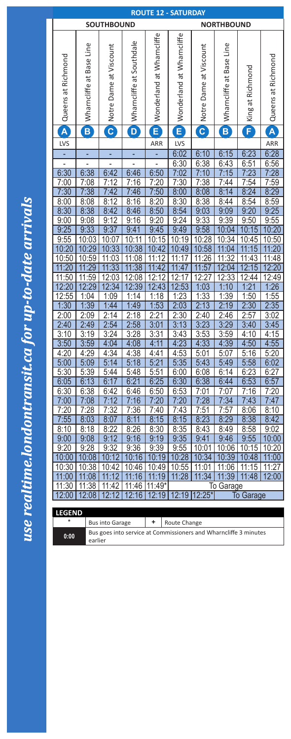| <b>ROUTE 12 - SATURDAY</b>                       |                                                                  |                        |                          |                           |                           |                        |                     |                        |                                 |
|--------------------------------------------------|------------------------------------------------------------------|------------------------|--------------------------|---------------------------|---------------------------|------------------------|---------------------|------------------------|---------------------------------|
| <b>SOUTHBOUND</b><br><b>NORTHBOUND</b>           |                                                                  |                        |                          |                           |                           |                        |                     |                        |                                 |
|                                                  |                                                                  |                        |                          | Wonderland at Wharncliffe | Wonderland at Wharncliffe |                        |                     |                        |                                 |
|                                                  | Line                                                             | Notre Dame at Viscount | Wharncliffe at Southdale |                           |                           | Notre Dame at Viscount | Line                |                        |                                 |
|                                                  | <b>Base</b>                                                      |                        |                          |                           |                           |                        |                     |                        |                                 |
|                                                  |                                                                  |                        |                          |                           |                           |                        |                     |                        |                                 |
|                                                  | ಹ                                                                |                        |                          |                           |                           |                        |                     |                        |                                 |
|                                                  |                                                                  |                        |                          |                           |                           |                        |                     |                        |                                 |
|                                                  |                                                                  |                        |                          |                           |                           |                        |                     |                        |                                 |
| Queens at Richmond                               | Wharncliffe                                                      |                        |                          |                           |                           |                        | Wharncliffe at Base | King at Richmond       | Queens at Richmond              |
| A                                                | $\mathbf{B}$                                                     | $\mathbf{C}$           | D                        | E                         | E                         | $\mathbf C$            | B                   | F                      | A                               |
| <b>LVS</b>                                       |                                                                  |                        |                          | ARR                       | LVS                       |                        |                     |                        | ARR                             |
|                                                  | ۳                                                                |                        | ۳                        |                           | 6:02                      | 6:10                   | 6:15                | 6:23                   | 6:28                            |
|                                                  |                                                                  |                        |                          |                           | 6:30                      | 6:38                   | 6:43                | 6:51                   | 6:56                            |
| 6:30                                             | 6:38                                                             | 6:42                   | 6:46                     | 6:50                      | 7:02                      | 7:10                   | 7:15                | 7:23                   | 7:28                            |
| 7:00                                             | 7:08                                                             | 7:12                   | 7:16                     | 7:20                      | 7:30                      | 7:38                   | 7:44                | 7:54                   | 7:59                            |
| 7:30                                             | 7:38                                                             | 7:42                   | 7:46                     | 7:50                      | 8:00                      | 8:08                   | 8:14                | 8:24                   | 8:29                            |
| 8:00                                             | 8:08                                                             | 8:12                   | 8:16                     | 8:20                      | 8:30                      | 8:38                   | 8:44                | 8:54                   | 8:59                            |
| 8:30                                             | 8:38                                                             | 8:42                   | 8:46                     | 8:50                      | 8:54                      | 9:03                   | 9:09                | 9:20                   | 9:25                            |
| 9:00                                             | 9:08                                                             | 9:12                   | 9:16                     | 9:20                      | 9:24                      | 9:33                   | 9:39                | 9:50                   | 9:55                            |
| 9:25                                             | 9:33                                                             | 9:37                   | 9:41                     | 9:45                      | 9:49                      | 9:58                   | 10:04               | 10:15                  | 10:20                           |
| 9:55<br>10:20                                    | 10:03<br>10:29                                                   | 10:07<br>10:33         | 10:11<br>10:38           | 10:15<br>10:42            | 10:19<br>10:49            | 10:28<br>10:58         | 10:34<br>11:04      | 10:45<br>:15<br>11     | 10:50<br>$\overline{.20}$<br>11 |
| 10:50                                            | 10:59                                                            | 11:03                  | 11:08                    | 11:12                     | 11:1<br>7                 | 11:26                  | 11:32               | 11:43                  | <u>11:48</u>                    |
| 11:20                                            | :29<br>11                                                        | 11:33                  | 11:38                    | 11:42                     | 11:47                     | 11:57                  | 12:04               | $\overline{15}$<br>12: | 12:20                           |
| 11:50                                            | 11:59                                                            | 12:03                  | 12:08                    | $\overline{12}$<br>12:    | 12:<br>7                  | 12:27                  | 12:33               | 12:44                  | 12:49                           |
| 12:20                                            | 12:29                                                            | 12:34                  | 12:39                    | 12:43                     | 12:53                     | 1:03                   | 1:10                | 1:21                   | 1:26                            |
| 12:55                                            | 1:04                                                             | 1:09                   | 1:14                     | 1:18                      | 1:23                      | 1:33                   | 1:39                | 1:50                   | 1:55                            |
| 1:30                                             | 1:39                                                             | 1:44                   | 1:49                     | 1:53                      | 2:03                      | 2:13                   | 2:19                | 2:30                   | 2:35                            |
| 2:00                                             | 2:09                                                             | 2:14                   | 2:18                     | 2:21                      | 2:30                      | 2:40                   | 2:46                | 2:57                   | $\frac{3:02}{3:45}$             |
| 2:40                                             | 2:49                                                             | 2:54                   | 2:58                     | 3:01                      | 3:13                      | 3:23                   | 3:29                | 3:40                   |                                 |
| 3:10                                             | 3:19                                                             | 3:24                   | 3:28                     | 3:31                      | 3:43                      | 3:53                   | 3:59                | 4:10                   | 4:15                            |
| 3:50                                             | 3:59                                                             | 4:04                   | 4:08                     | 4:11                      | 4:23                      | 4:33                   | 4:39                | 4:50                   | 4:55                            |
| 4:20<br>5:00                                     | 4:29<br>5:09                                                     | 4:34<br>5:14           | 4:38<br>5:18             | 4:41<br>5:21              | 4:53<br>5:35              | 5:01<br>5:43           | 5:07<br>5:49        | 5:16<br>5:58           | 5:20<br>6:02                    |
| 5:30                                             | 5:39                                                             | 5:44                   | 5:48                     | 5:51                      | 6:00                      | 6:08                   | 6:14                | 6:23                   | 6:27                            |
| 6:05                                             | 6:13                                                             | 6:17                   | 6:21                     | 6:25                      | 6:30                      | 6:38                   | 6:44                | 6:53                   | 6:57                            |
| 6:30                                             | 6:38                                                             | 6:42                   | 6:46                     | 6:50                      | 6:53                      | 7:01                   | 7:07                | 7:16                   | 7:20                            |
| 7:00                                             | 7:08                                                             | 7:12                   | 7:16                     | 7:20                      | 7:20                      | 7:28                   | 7:34                | 7:43                   | 7:47                            |
| 7:20                                             | 7:28                                                             | 7:32                   | 7:36                     | 7:40                      | 7:43                      | 7:51                   | 7:57                | 8:06                   | 8:10                            |
| 7:55                                             | 8:03                                                             | 8:07                   | 8:11                     | 8:15                      | 8:15                      | 8:23                   | 8:29                | 8:38                   | 8:42                            |
| 8:10                                             | 8:18                                                             | 8:22                   | 8:26                     | 8:30                      | 8:35                      | 8:43                   | 8:49                | 8:58                   | 9:02                            |
| 9:00                                             | 9:08                                                             | 9:12                   | 9:16                     | 9:19                      | 9:35                      | 9:41                   | 9:46                | 9:55                   | 10:00                           |
| 9:20                                             | 9:28                                                             | 9:32                   | 9:36                     | 9:39                      | 9:55                      | 10:01                  | 10:06               | 10:15                  | 10:20                           |
| 10:00                                            | 10:08                                                            | 10:12                  | 10:16                    | 10:19                     | 10:28                     | 10:34                  | 10:39               | 10:48                  | 11:00                           |
| 10:30                                            | 10:38                                                            | 10:42                  | 10:46                    | 10:49                     | 10:55                     | 11:01                  | 11:06               | 11:15                  | 11:27                           |
| 11:00<br>11:30                                   | 11:08<br>11:38                                                   | 11:12<br>11:42         | 11:16<br>11:46           | 11:19<br>$11:49*$         | 11:28                     | 11:34                  | 11:39<br>To Garage  | 11:48                  | 12:00                           |
| 12:00                                            | 12:08                                                            | 12:12                  | 12:16                    | 12:19                     |                           | 12:19 12:25*           |                     | <b>To Garage</b>       |                                 |
|                                                  |                                                                  |                        |                          |                           |                           |                        |                     |                        |                                 |
| <b>LEGEND</b>                                    |                                                                  |                        |                          |                           |                           |                        |                     |                        |                                 |
| *<br>٠<br><b>Bus into Garage</b><br>Route Change |                                                                  |                        |                          |                           |                           |                        |                     |                        |                                 |
| 0:00                                             | Bus goes into service at Commissioners and Wharncliffe 3 minutes |                        |                          |                           |                           |                        |                     |                        |                                 |
|                                                  | earlier                                                          |                        |                          |                           |                           |                        |                     |                        |                                 |

use realtime.londontransit.ca for up-to-date arrivals *use realtime.londontransit.ca for up-to-date arrivals*